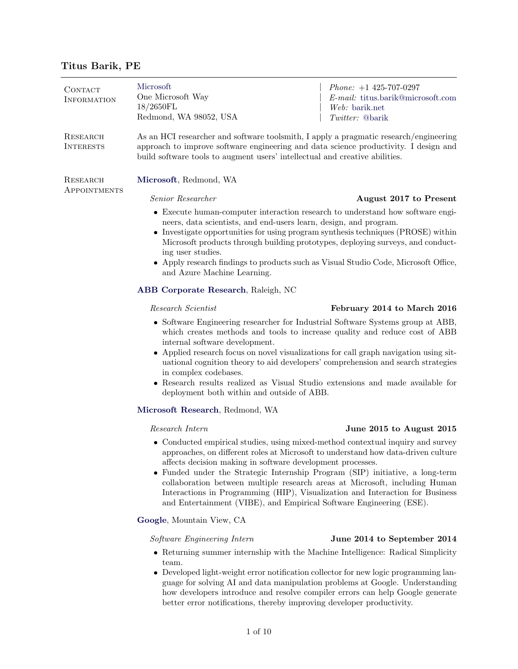# Titus Barik, PE

| CONTACT<br><b>INFORMATION</b> | Microsoft<br>One Microsoft Way<br>18/2650FL<br>Redmond, WA 98052, USA                                                                                                                                                                                                                                                                                                                                                                                                                                                                                      | <i>Phone:</i> $+1$ 425-707-0297<br>E-mail: titus.barik@microsoft.com<br>Web: barik.net<br>Twitter: @barik |  |
|-------------------------------|------------------------------------------------------------------------------------------------------------------------------------------------------------------------------------------------------------------------------------------------------------------------------------------------------------------------------------------------------------------------------------------------------------------------------------------------------------------------------------------------------------------------------------------------------------|-----------------------------------------------------------------------------------------------------------|--|
| RESEARCH<br><b>INTERESTS</b>  | As an HCI researcher and software toolsmith, I apply a pragmatic research/engineering<br>approach to improve software engineering and data science productivity. I design and<br>build software tools to augment users' intellectual and creative abilities.                                                                                                                                                                                                                                                                                               |                                                                                                           |  |
| RESEARCH<br>APPOINTMENTS      | Microsoft, Redmond, WA                                                                                                                                                                                                                                                                                                                                                                                                                                                                                                                                     |                                                                                                           |  |
|                               | Senior Researcher                                                                                                                                                                                                                                                                                                                                                                                                                                                                                                                                          | August 2017 to Present                                                                                    |  |
|                               | • Execute human-computer interaction research to understand how software engi-<br>neers, data scientists, and end-users learn, design, and program.<br>• Investigate opportunities for using program synthesis techniques (PROSE) within<br>Microsoft products through building prototypes, deploying surveys, and conduct-<br>ing user studies.<br>• Apply research findings to products such as Visual Studio Code, Microsoft Office,<br>and Azure Machine Learning.                                                                                     |                                                                                                           |  |
|                               | ABB Corporate Research, Raleigh, NC                                                                                                                                                                                                                                                                                                                                                                                                                                                                                                                        |                                                                                                           |  |
|                               | Research Scientist                                                                                                                                                                                                                                                                                                                                                                                                                                                                                                                                         | February 2014 to March 2016                                                                               |  |
|                               | • Software Engineering researcher for Industrial Software Systems group at ABB,<br>which creates methods and tools to increase quality and reduce cost of ABB<br>internal software development.<br>• Applied research focus on novel visualizations for call graph navigation using sit-<br>uational cognition theory to aid developers' comprehension and search strategies<br>in complex codebases.<br>• Research results realized as Visual Studio extensions and made available for<br>deployment both within and outside of ABB.                      |                                                                                                           |  |
|                               | Microsoft Research, Redmond, WA                                                                                                                                                                                                                                                                                                                                                                                                                                                                                                                            |                                                                                                           |  |
|                               | Research Intern                                                                                                                                                                                                                                                                                                                                                                                                                                                                                                                                            | June 2015 to August 2015                                                                                  |  |
|                               | • Conducted empirical studies, using mixed-method contextual inquiry and survey<br>approaches, on different roles at Microsoft to understand how data-driven culture<br>affects decision making in software development processes.<br>• Funded under the Strategic Internship Program (SIP) initiative, a long-term<br>collaboration between multiple research areas at Microsoft, including Human<br>Interactions in Programming (HIP), Visualization and Interaction for Business<br>and Entertainment (VIBE), and Empirical Software Engineering (ESE). |                                                                                                           |  |
|                               | Google, Mountain View, CA                                                                                                                                                                                                                                                                                                                                                                                                                                                                                                                                  |                                                                                                           |  |
|                               | Software Engineering Intern                                                                                                                                                                                                                                                                                                                                                                                                                                                                                                                                | June 2014 to September 2014                                                                               |  |
|                               | • Returning summer internship with the Machine Intelligence: Radical Simplicity                                                                                                                                                                                                                                                                                                                                                                                                                                                                            |                                                                                                           |  |

team. Developed light-weight error notification collector for new logic programming language for solving AI and data manipulation problems at Google. Understanding how developers introduce and resolve compiler errors can help Google generate better error notifications, thereby improving developer productivity.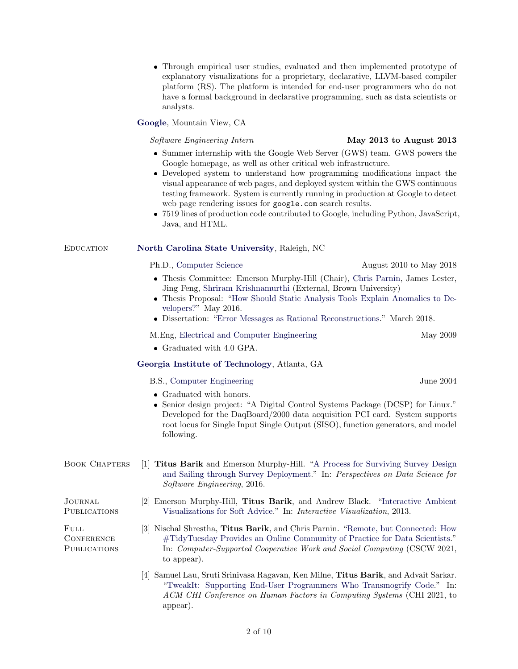|                                           | platform (RS). The platform is intended for end-user programmers who do not<br>have a formal background in declarative programming, such as data scientists or<br>analysts.                                                                                                                                                                                                                                                                                                                                                                                                  |                           |  |
|-------------------------------------------|------------------------------------------------------------------------------------------------------------------------------------------------------------------------------------------------------------------------------------------------------------------------------------------------------------------------------------------------------------------------------------------------------------------------------------------------------------------------------------------------------------------------------------------------------------------------------|---------------------------|--|
|                                           | Google, Mountain View, CA                                                                                                                                                                                                                                                                                                                                                                                                                                                                                                                                                    |                           |  |
|                                           | Software Engineering Intern                                                                                                                                                                                                                                                                                                                                                                                                                                                                                                                                                  | May 2013 to August $2013$ |  |
|                                           | $\bullet$ Summer internship with the Google Web Server (GWS) team. GWS powers the<br>Google homepage, as well as other critical web infrastructure.<br>• Developed system to understand how programming modifications impact the<br>visual appearance of web pages, and deployed system within the GWS continuous<br>testing framework. System is currently running in production at Google to detect<br>web page rendering issues for google.com search results.<br>• 7519 lines of production code contributed to Google, including Python, JavaScript,<br>Java, and HTML. |                           |  |
| <b>EDUCATION</b>                          | North Carolina State University, Raleigh, NC                                                                                                                                                                                                                                                                                                                                                                                                                                                                                                                                 |                           |  |
|                                           | Ph.D., Computer Science                                                                                                                                                                                                                                                                                                                                                                                                                                                                                                                                                      | August 2010 to May 2018   |  |
|                                           | • Thesis Committee: Emerson Murphy-Hill (Chair), Chris Parnin, James Lester,<br>Jing Feng, Shriram Krishnamurthi (External, Brown University)<br>• Thesis Proposal: "How Should Static Analysis Tools Explain Anomalies to De-<br>velopers?" May 2016.<br>• Dissertation: "Error Messages as Rational Reconstructions." March 2018.                                                                                                                                                                                                                                          |                           |  |
|                                           | M. Eng, Electrical and Computer Engineering                                                                                                                                                                                                                                                                                                                                                                                                                                                                                                                                  | May 2009                  |  |
|                                           | • Graduated with 4.0 GPA.                                                                                                                                                                                                                                                                                                                                                                                                                                                                                                                                                    |                           |  |
|                                           | Georgia Institute of Technology, Atlanta, GA                                                                                                                                                                                                                                                                                                                                                                                                                                                                                                                                 |                           |  |
|                                           | B.S., Computer Engineering                                                                                                                                                                                                                                                                                                                                                                                                                                                                                                                                                   | June 2004                 |  |
|                                           | • Graduated with honors.<br>• Senior design project: "A Digital Control Systems Package (DCSP) for Linux."<br>Developed for the DaqBoard/2000 data acquisition PCI card. System supports<br>root locus for Single Input Single Output (SISO), function generators, and model<br>following.                                                                                                                                                                                                                                                                                   |                           |  |
| <b>BOOK CHAPTERS</b>                      | [1] Titus Barik and Emerson Murphy-Hill. "A Process for Surviving Survey Design<br>and Sailing through Survey Deployment." In: Perspectives on Data Science for<br>Software Engineering, 2016.                                                                                                                                                                                                                                                                                                                                                                               |                           |  |
| JOURNAL<br><b>PUBLICATIONS</b>            | [2] Emerson Murphy-Hill, Titus Barik, and Andrew Black. "Interactive Ambient"<br>Visualizations for Soft Advice." In: Interactive Visualization, 2013.                                                                                                                                                                                                                                                                                                                                                                                                                       |                           |  |
| FULL<br><b>CONFERENCE</b><br>PUBLICATIONS | [3] Nischal Shrestha, Titus Barik, and Chris Parnin. "Remote, but Connected: How<br>#TidyTuesday Provides an Online Community of Practice for Data Scientists."<br>In: Computer-Supported Cooperative Work and Social Computing (CSCW 2021,<br>to appear).                                                                                                                                                                                                                                                                                                                   |                           |  |
|                                           | [4] Samuel Lau, Sruti Srinivasa Ragavan, Ken Milne, Titus Barik, and Advait Sarkar.<br>"TweakIt: Supporting End-User Programmers Who Transmogrify Code." In:<br>ACM CHI Conference on Human Factors in Computing Systems (CHI 2021, to<br>appear).                                                                                                                                                                                                                                                                                                                           |                           |  |

 Through empirical user studies, evaluated and then implemented prototype of explanatory visualizations for a proprietary, declarative, LLVM-based compiler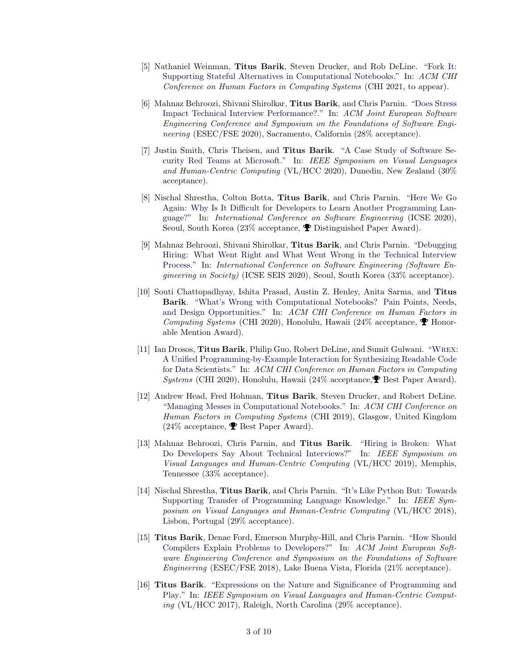- [5] Nathaniel Weinman, Titus Barik, Steven Drucker, and Rob DeLine. ["Fork It:](http://go.barik.net/forkit) [Supporting Stateful Alternatives in Computational Notebooks.](http://go.barik.net/forkit)" In: ACM CHI Conference on Human Factors in Computing Systems (CHI 2021, to appear).
- [6] Mahnaz Behroozi, Shivani Shirolkar, Titus Barik, and Chris Parnin. ["Does Stress](http://go.barik.net/fse2020) [Impact Technical Interview Performance?.](http://go.barik.net/fse2020)" In: ACM Joint European Software Engineering Conference and Symposium on the Foundations of Software Engineering (ESEC/FSE 2020), Sacramento, California (28% acceptance).
- [7] Justin Smith, Chris Theisen, and Titus Barik. ["A Case Study of Software Se](http://go.barik.net/vlhcc2020)[curity Red Teams at Microsoft.](http://go.barik.net/vlhcc2020)" In: IEEE Symposium on Visual Languages and Human-Centric Computing (VL/HCC 2020), Dunedin, New Zealand (30% acceptance).
- [8] Nischal Shrestha, Colton Botta, Titus Barik, and Chris Parnin. ["Here We Go](http://go.barik.net/herewegoagain) [Again: Why Is It Difficult for Developers to Learn Another Programming Lan](http://go.barik.net/herewegoagain)[guage?"](http://go.barik.net/herewegoagain) In: International Conference on Software Engineering (ICSE 2020), Seoul, South Korea (23% acceptance,  $\blacktriangledown$  Distinguished Paper Award).
- [9] Mahnaz Behroozi, Shivani Shirolkar, Titus Barik, and Chris Parnin. ["Debugging](http://go.barik.net/debugginghiring) [Hiring: What Went Right and What Went Wrong in the Technical Interview](http://go.barik.net/debugginghiring) [Process.](http://go.barik.net/debugginghiring)" In: International Conference on Software Engineering (Software Engineering in Society) (ICSE SEIS 2020), Seoul, South Korea (33% acceptance).
- [10] Souti Chattopadhyay, Ishita Prasad, Austin Z. Henley, Anita Sarma, and Titus Barik. ["What's Wrong with Computational Notebooks? Pain Points, Needs,](http://go.barik.net/nbpainpoints) [and Design Opportunities.](http://go.barik.net/nbpainpoints)" In: ACM CHI Conference on Human Factors in Computing Systems (CHI 2020), Honolulu, Hawaii (24% acceptance,  $\blacktriangledown$  Honorable Mention Award).
- [11] Ian Drosos, Titus Barik, Philip Guo, Robert DeLine, and Sumit Gulwani. "[Wrex](http://go.barik.net/wrex): [A Unified Programming-by-Example Interaction for Synthesizing Readable Code](http://go.barik.net/wrex) [for Data Scientists.](http://go.barik.net/wrex)" In: ACM CHI Conference on Human Factors in Computing Systems (CHI 2020), Honolulu, Hawaii (24% acceptance, $\mathbf{\mathcal{P}}$  Best Paper Award).
- [12] Andrew Head, Fred Hohman, Titus Barik, Steven Drucker, and Robert DeLine. ["Managing Messes in Computational Notebooks.](http://go.barik.net/chi2019)" In: ACM CHI Conference on Human Factors in Computing Systems (CHI 2019), Glasgow, United Kingdom  $(24\% \text{ acceptance}, \blacktriangleright \text{Best Paper Award}).$
- [13] Mahnaz Behroozi, Chris Parnin, and Titus Barik. ["Hiring is Broken: What](http://go.barik.net/hiringisbroken) [Do Developers Say About Technical Interviews?"](http://go.barik.net/hiringisbroken) In: IEEE Symposium on Visual Languages and Human-Centric Computing (VL/HCC 2019), Memphis, Tennessee (33% acceptance).
- [14] Nischal Shrestha, Titus Barik, and Chris Parnin. ["It's Like Python But: Towards](http://go.barik.net/vlhcc2018) [Supporting Transfer of Programming Language Knowledge.](http://go.barik.net/vlhcc2018)" In: IEEE Symposium on Visual Languages and Human-Centric Computing (VL/HCC 2018), Lisbon, Portugal (29% acceptance).
- [15] Titus Barik, Denae Ford, Emerson Murphy-Hill, and Chris Parnin. ["How Should](http://go.barik.net/fse2018) [Compilers Explain Problems to Developers?"](http://go.barik.net/fse2018) In: ACM Joint European Software Engineering Conference and Symposium on the Foundations of Software Engineering (ESEC/FSE 2018), Lake Buena Vista, Florida (21% acceptance).
- [16] Titus Barik. ["Expressions on the Nature and Significance of Programming and](http://go.barik.net/vlhcc2017) [Play.](http://go.barik.net/vlhcc2017)" In: IEEE Symposium on Visual Languages and Human-Centric Computing (VL/HCC 2017), Raleigh, North Carolina (29% acceptance).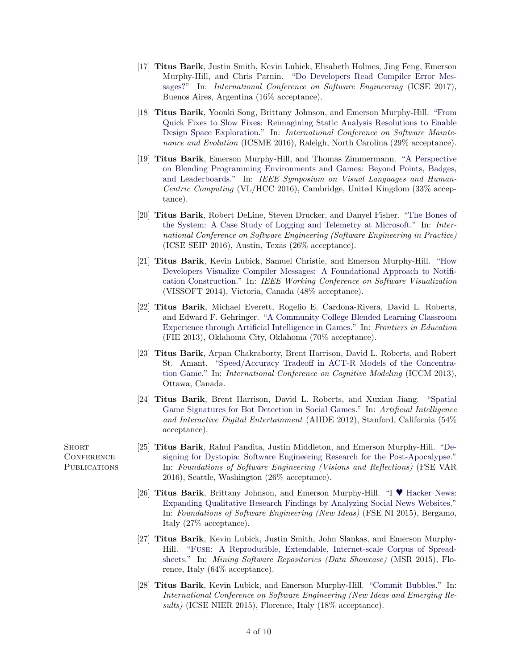- [17] Titus Barik, Justin Smith, Kevin Lubick, Elisabeth Holmes, Jing Feng, Emerson Murphy-Hill, and Chris Parnin. ["Do Developers Read Compiler Error Mes](http://go.barik.net/gazerbeams)[sages?"](http://go.barik.net/gazerbeams) In: International Conference on Software Engineering (ICSE 2017), Buenos Aires, Argentina (16% acceptance).
- [18] Titus Barik, Yoonki Song, Brittany Johnson, and Emerson Murphy-Hill. ["From](http://go.barik.net/fixbugs) [Quick Fixes to Slow Fixes: Reimagining Static Analysis Resolutions to Enable](http://go.barik.net/fixbugs) [Design Space Exploration.](http://go.barik.net/fixbugs)" In: International Conference on Software Maintenance and Evolution (ICSME 2016), Raleigh, North Carolina (29% acceptance).
- [19] Titus Barik, Emerson Murphy-Hill, and Thomas Zimmermann. ["A Perspective](http://go.barik.net/blend) [on Blending Programming Environments and Games: Beyond Points, Badges,](http://go.barik.net/blend) [and Leaderboards.](http://go.barik.net/blend)" In: IEEE Symposium on Visual Languages and Human-Centric Computing (VL/HCC 2016), Cambridge, United Kingdom (33% acceptance).
- [20] Titus Barik, Robert DeLine, Steven Drucker, and Danyel Fisher. ["The Bones of](http://go.barik.net/icse2016) [the System: A Case Study of Logging and Telemetry at Microsoft.](http://go.barik.net/icse2016)" In: International Conference on Software Engineering (Software Engineering in Practice) (ICSE SEIP 2016), Austin, Texas (26% acceptance).
- [21] Titus Barik, Kevin Lubick, Samuel Christie, and Emerson Murphy-Hill. ["How](http://go.barik.net/vissoft2014) [Developers Visualize Compiler Messages: A Foundational Approach to Notifi](http://go.barik.net/vissoft2014)[cation Construction.](http://go.barik.net/vissoft2014)" In: IEEE Working Conference on Software Visualization (VISSOFT 2014), Victoria, Canada (48% acceptance).
- [22] Titus Barik, Michael Everett, Rogelio E. Cardona-Rivera, David L. Roberts, and Edward F. Gehringer. ["A Community College Blended Learning Classroom](http://go.barik.net/eduai) [Experience through Artificial Intelligence in Games.](http://go.barik.net/eduai)" In: Frontiers in Education (FIE 2013), Oklahoma City, Oklahoma (70% acceptance).
- [23] Titus Barik, Arpan Chakraborty, Brent Harrison, David L. Roberts, and Robert St. Amant. ["Speed/Accuracy Tradeoff in ACT-R Models of the Concentra](http://go.barik.net/iccm2013)[tion Game.](http://go.barik.net/iccm2013)" In: International Conference on Cognitive Modeling (ICCM 2013), Ottawa, Canada.
- [24] Titus Barik, Brent Harrison, David L. Roberts, and Xuxian Jiang. ["Spatial](http://go.barik.net/aiide2012) [Game Signatures for Bot Detection in Social Games.](http://go.barik.net/aiide2012)" In: Artificial Intelligence and Interactive Digital Entertainment (AIIDE 2012), Stanford, California (54% acceptance).
- [25] Titus Barik, Rahul Pandita, Justin Middleton, and Emerson Murphy-Hill. ["De](http://go.barik.net/omgzombies)[signing for Dystopia: Software Engineering Research for the Post-Apocalypse.](http://go.barik.net/omgzombies)" In: Foundations of Software Engineering (Visions and Reflections) (FSE VAR 2016), Seattle, Washington (26% acceptance).
- [26] Titus Barik, Brittany Johnson, and Emerson Murphy-Hill. "I ♥ [Hacker News:](http://go.barik.net/fsenier2015) [Expanding Qualitative Research Findings by Analyzing Social News Websites.](http://go.barik.net/fsenier2015)" In: Foundations of Software Engineering (New Ideas) (FSE NI 2015), Bergamo, Italy (27% acceptance).
- [27] Titus Barik, Kevin Lubick, Justin Smith, John Slankas, and Emerson Murphy-Hill. "Fuse[: A Reproducible, Extendable, Internet-scale Corpus of Spread](http://go.barik.net/msr2015)[sheets.](http://go.barik.net/msr2015)" In: Mining Software Repositories (Data Showcase) (MSR 2015), Florence, Italy (64% acceptance).
- [28] Titus Barik, Kevin Lubick, and Emerson Murphy-Hill. ["Commit Bubbles.](http://go.barik.net/icsenier2015)" In: International Conference on Software Engineering (New Ideas and Emerging Results) (ICSE NIER 2015), Florence, Italy (18% acceptance).

**SHORT CONFERENCE PUBLICATIONS**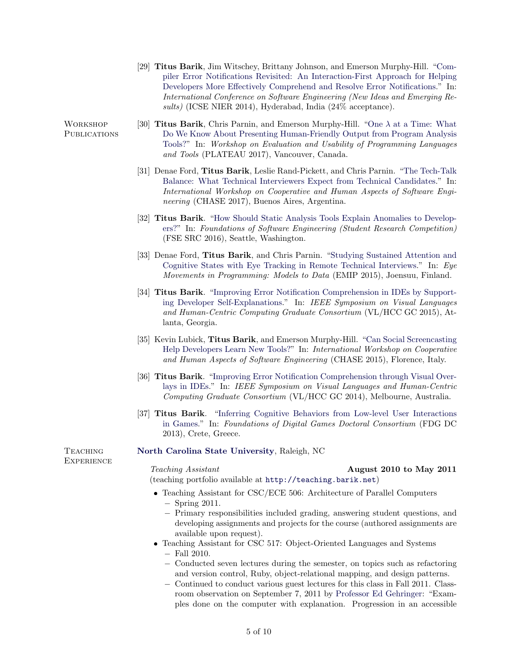[29] Titus Barik, Jim Witschey, Brittany Johnson, and Emerson Murphy-Hill. ["Com](http://go.barik.net/icsenier2014)[piler Error Notifications Revisited: An Interaction-First Approach for Helping](http://go.barik.net/icsenier2014) [Developers More Effectively Comprehend and Resolve Error Notifications.](http://go.barik.net/icsenier2014)" In: International Conference on Software Engineering (New Ideas and Emerging Results) (ICSE NIER 2014), Hyderabad, India (24% acceptance).

[30] **Titus Barik**, Chris Parnin, and Emerson Murphy-Hill. "One  $\lambda$  [at a Time: What](http://go.barik.net/plateau2017) [Do We Know About Presenting Human-Friendly Output from Program Analysis](http://go.barik.net/plateau2017) [Tools?"](http://go.barik.net/plateau2017) In: Workshop on Evaluation and Usability of Programming Languages and Tools (PLATEAU 2017), Vancouver, Canada.

- [31] Denae Ford, Titus Barik, Leslie Rand-Pickett, and Chris Parnin. ["The Tech-Talk](http://go.barik.net/techtalk) [Balance: What Technical Interviewers Expect from Technical Candidates.](http://go.barik.net/techtalk)" In: International Workshop on Cooperative and Human Aspects of Software Engineering (CHASE 2017), Buenos Aires, Argentina.
- [32] Titus Barik. ["How Should Static Analysis Tools Explain Anomalies to Develop](http://go.barik.net/fse2016src)[ers?"](http://go.barik.net/fse2016src) In: Foundations of Software Engineering (Student Research Competition) (FSE SRC 2016), Seattle, Washington.
- [33] Denae Ford, Titus Barik, and Chris Parnin. ["Studying Sustained Attention and](http://go.barik.net/emip2015) [Cognitive States with Eye Tracking in Remote Technical Interviews.](http://go.barik.net/emip2015)" In: Eye Movements in Programming: Models to Data (EMIP 2015), Joensuu, Finland.
- [34] Titus Barik. ["Improving Error Notification Comprehension in IDEs by Support](http://go.barik.net/vlhcc2015)[ing Developer Self-Explanations.](http://go.barik.net/vlhcc2015)" In: IEEE Symposium on Visual Languages and Human-Centric Computing Graduate Consortium (VL/HCC GC 2015), Atlanta, Georgia.
- [35] Kevin Lubick, Titus Barik, and Emerson Murphy-Hill. ["Can Social Screencasting](http://go.barik.net/chase2015) [Help Developers Learn New Tools?"](http://go.barik.net/chase2015) In: International Workshop on Cooperative and Human Aspects of Software Engineering (CHASE 2015), Florence, Italy.
- [36] Titus Barik. ["Improving Error Notification Comprehension through Visual Over](http://go.barik.net/vlhcc2014)[lays in IDEs.](http://go.barik.net/vlhcc2014)" In: IEEE Symposium on Visual Languages and Human-Centric Computing Graduate Consortium (VL/HCC GC 2014), Melbourne, Australia.
- [37] Titus Barik. ["Inferring Cognitive Behaviors from Low-level User Interactions](http://go.barik.net/fdg2013dc) [in Games.](http://go.barik.net/fdg2013dc)" In: Foundations of Digital Games Doctoral Consortium (FDG DC 2013), Crete, Greece.

[North Carolina State University](http://www.ncsu.edu), Raleigh, NC

# Teaching Assistant **August 2010 to May 2011**

(teaching portfolio available at <http://teaching.barik.net>)

- Teaching Assistant for CSC/ECE 506: Architecture of Parallel Computers − Spring 2011.
	- − Primary responsibilities included grading, answering student questions, and developing assignments and projects for the course (authored assignments are available upon request).
- Teaching Assistant for CSC 517: Object-Oriented Languages and Systems − Fall 2010.
	- − Conducted seven lectures during the semester, on topics such as refactoring and version control, Ruby, object-relational mapping, and design patterns.
	- − Continued to conduct various guest lectures for this class in Fall 2011. Classroom observation on September 7, 2011 by [Professor Ed Gehringer:](http://www4.ncsu.edu/~efg/) "Examples done on the computer with explanation. Progression in an accessible

**WORKSHOP PUBLICATIONS** 

**TEACHING EXPERIENCE**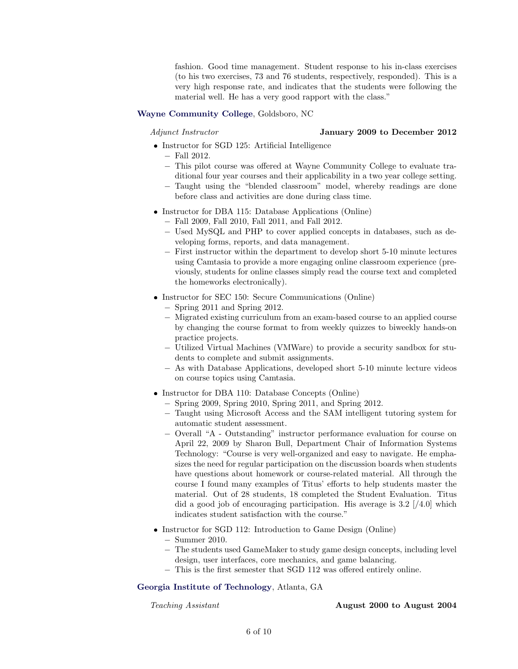fashion. Good time management. Student response to his in-class exercises (to his two exercises, 73 and 76 students, respectively, responded). This is a very high response rate, and indicates that the students were following the material well. He has a very good rapport with the class."

### [Wayne Community College](http://www.waynecc.edu), Goldsboro, NC

#### Adjunct Instructor January 2009 to December 2012

- Instructor for SGD 125: Artificial Intelligence
	- − Fall 2012.
	- − This pilot course was offered at Wayne Community College to evaluate traditional four year courses and their applicability in a two year college setting.
	- − Taught using the "blended classroom" model, whereby readings are done before class and activities are done during class time.
- Instructor for DBA 115: Database Applications (Online)
	- − Fall 2009, Fall 2010, Fall 2011, and Fall 2012.
	- − Used MySQL and PHP to cover applied concepts in databases, such as developing forms, reports, and data management.
	- − First instructor within the department to develop short 5-10 minute lectures using Camtasia to provide a more engaging online classroom experience (previously, students for online classes simply read the course text and completed the homeworks electronically).
- Instructor for SEC 150: Secure Communications (Online)
	- − Spring 2011 and Spring 2012.
	- − Migrated existing curriculum from an exam-based course to an applied course by changing the course format to from weekly quizzes to biweekly hands-on practice projects.
	- − Utilized Virtual Machines (VMWare) to provide a security sandbox for students to complete and submit assignments.
	- − As with Database Applications, developed short 5-10 minute lecture videos on course topics using Camtasia.
- Instructor for DBA 110: Database Concepts (Online)
	- − Spring 2009, Spring 2010, Spring 2011, and Spring 2012.
	- − Taught using Microsoft Access and the SAM intelligent tutoring system for automatic student assessment.
	- − Overall "A Outstanding" instructor performance evaluation for course on April 22, 2009 by Sharon Bull, Department Chair of Information Systems Technology: "Course is very well-organized and easy to navigate. He emphasizes the need for regular participation on the discussion boards when students have questions about homework or course-related material. All through the course I found many examples of Titus' efforts to help students master the material. Out of 28 students, 18 completed the Student Evaluation. Titus did a good job of encouraging participation. His average is  $3.2 \frac{1}{4.0}$  which indicates student satisfaction with the course."
- Instructor for SGD 112: Introduction to Game Design (Online) − Summer 2010.
	- − The students used GameMaker to study game design concepts, including level design, user interfaces, core mechanics, and game balancing.
	- − This is the first semester that SGD 112 was offered entirely online.

#### [Georgia Institute of Technology](http://www.gatech.edu), Atlanta, GA

#### Teaching Assistant **August 2000** to August 2004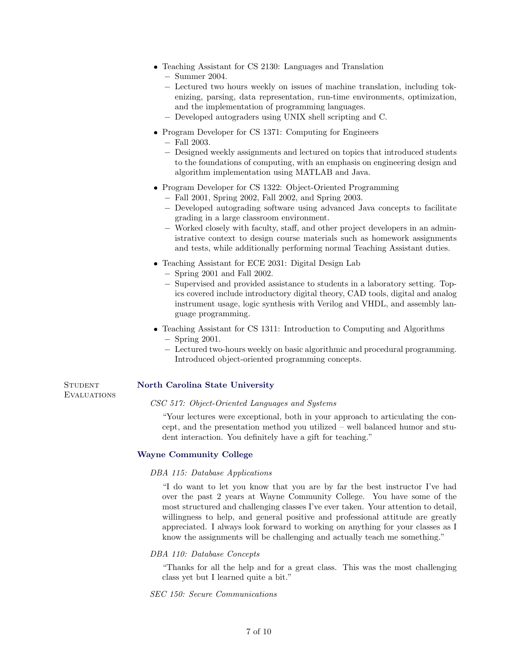- Teaching Assistant for CS 2130: Languages and Translation
	- − Summer 2004.
	- − Lectured two hours weekly on issues of machine translation, including tokenizing, parsing, data representation, run-time environments, optimization, and the implementation of programming languages.
	- − Developed autograders using UNIX shell scripting and C.
- Program Developer for CS 1371: Computing for Engineers
	- − Fall 2003.
	- − Designed weekly assignments and lectured on topics that introduced students to the foundations of computing, with an emphasis on engineering design and algorithm implementation using MATLAB and Java.
- Program Developer for CS 1322: Object-Oriented Programming
	- − Fall 2001, Spring 2002, Fall 2002, and Spring 2003.
	- − Developed autograding software using advanced Java concepts to facilitate grading in a large classroom environment.
	- − Worked closely with faculty, staff, and other project developers in an administrative context to design course materials such as homework assignments and tests, while additionally performing normal Teaching Assistant duties.
- Teaching Assistant for ECE 2031: Digital Design Lab
	- − Spring 2001 and Fall 2002.
	- − Supervised and provided assistance to students in a laboratory setting. Topics covered include introductory digital theory, CAD tools, digital and analog instrument usage, logic synthesis with Verilog and VHDL, and assembly language programming.
- Teaching Assistant for CS 1311: Introduction to Computing and Algorithms − Spring 2001.
	- − Lectured two-hours weekly on basic algorithmic and procedural programming. Introduced object-oriented programming concepts.

**STUDENT EVALUATIONS** 

# [North Carolina State University](http://www.ncsu.edu)

### CSC 517: Object-Oriented Languages and Systems

"Your lectures were exceptional, both in your approach to articulating the concept, and the presentation method you utilized – well balanced humor and student interaction. You definitely have a gift for teaching."

## [Wayne Community College](http://www.waynecc.edu)

### DBA 115: Database Applications

"I do want to let you know that you are by far the best instructor I've had over the past 2 years at Wayne Community College. You have some of the most structured and challenging classes I've ever taken. Your attention to detail, willingness to help, and general positive and professional attitude are greatly appreciated. I always look forward to working on anything for your classes as I know the assignments will be challenging and actually teach me something."

### DBA 110: Database Concepts

"Thanks for all the help and for a great class. This was the most challenging class yet but I learned quite a bit."

SEC 150: Secure Communications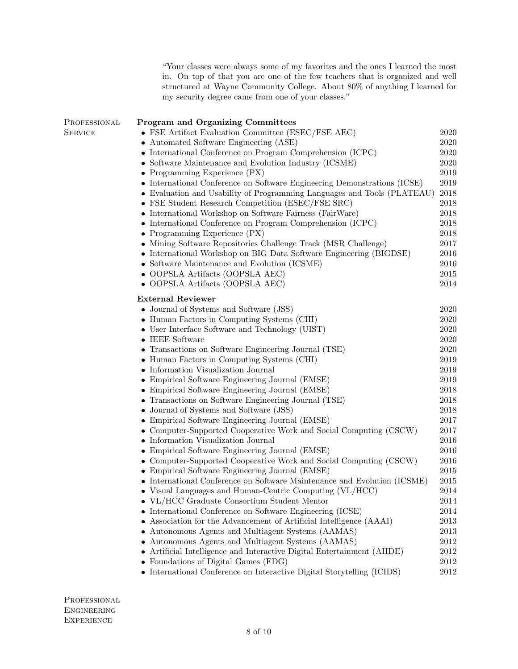"Your classes were always some of my favorites and the ones I learned the most in. On top of that you are one of the few teachers that is organized and well structured at Wayne Community College. About 80% of anything I learned for my security degree came from one of your classes." Program and Organizing Committees

| PROFESSIONAL   | <b>Program and Organizing Committees</b>                                 |          |
|----------------|--------------------------------------------------------------------------|----------|
| <b>SERVICE</b> | • FSE Artifact Evaluation Committee (ESEC/FSE AEC)                       | 2020     |
|                | • Automated Software Engineering (ASE)                                   | 2020     |
|                | International Conference on Program Comprehension (ICPC)                 | 2020     |
|                | Software Maintenance and Evolution Industry (ICSME)                      | 2020     |
|                | • Programming Experience $(PX)$                                          |          |
|                | • International Conference on Software Engineering Demonstrations (ICSE) | 2019     |
|                | • Evaluation and Usability of Programming Languages and Tools (PLATEAU)  | $\,2018$ |
|                | • FSE Student Research Competition (ESEC/FSE SRC)                        | 2018     |
|                | • International Workshop on Software Fairness (FairWare)                 | 2018     |
|                | • International Conference on Program Comprehension (ICPC)               | 2018     |
|                | • Programming Experience $(PX)$                                          | 2018     |
|                | • Mining Software Repositories Challenge Track (MSR Challenge)           | 2017     |
|                | • International Workshop on BIG Data Software Engineering (BIGDSE)       | $\,2016$ |
|                | • Software Maintenance and Evolution (ICSME)                             | 2016     |
|                | • OOPSLA Artifacts (OOPSLA AEC)                                          | $2015\,$ |
|                | • OOPSLA Artifacts (OOPSLA AEC)                                          | 2014     |
|                | <b>External Reviewer</b>                                                 |          |
|                | • Journal of Systems and Software (JSS)                                  | 2020     |
|                | • Human Factors in Computing Systems (CHI)                               | 2020     |
|                | • User Interface Software and Technology (UIST)                          | 2020     |
|                | • IEEE Software                                                          | 2020     |
|                | • Transactions on Software Engineering Journal (TSE)                     | 2020     |
|                | • Human Factors in Computing Systems (CHI)                               | 2019     |
|                | • Information Visualization Journal                                      | 2019     |
|                | • Empirical Software Engineering Journal (EMSE)                          | $\,2019$ |
|                | • Empirical Software Engineering Journal (EMSE)                          | 2018     |
|                | • Transactions on Software Engineering Journal (TSE)                     | 2018     |
|                | • Journal of Systems and Software (JSS)                                  | 2018     |
|                | • Empirical Software Engineering Journal (EMSE)                          | 2017     |
|                | • Computer-Supported Cooperative Work and Social Computing (CSCW)        | 2017     |
|                | • Information Visualization Journal                                      | $\,2016$ |
|                | • Empirical Software Engineering Journal (EMSE)                          | 2016     |
|                | • Computer-Supported Cooperative Work and Social Computing (CSCW)        | 2016     |
|                | • Empirical Software Engineering Journal (EMSE)                          | 2015     |
|                | • International Conference on Software Maintenance and Evolution (ICSME) | $\,2015$ |
|                | • Visual Languages and Human-Centric Computing (VL/HCC)                  | 2014     |
|                | • VL/HCC Graduate Consortium Student Mentor                              | 2014     |
|                | • International Conference on Software Engineering (ICSE)                | 2014     |
|                | • Association for the Advancement of Artificial Intelligence (AAAI)      | 2013     |
|                | • Autonomous Agents and Multiagent Systems (AAMAS)                       | 2013     |
|                | • Autonomous Agents and Multiagent Systems (AAMAS)                       | 2012     |
|                | • Artificial Intelligence and Interactive Digital Entertainment (AIIDE)  | 2012     |
|                | • Foundations of Digital Games (FDG)                                     | $2012\,$ |
|                | • International Conference on Interactive Digital Storytelling (ICIDS)   | 2012     |

PROFESSIONAL Engineering **EXPERIENCE**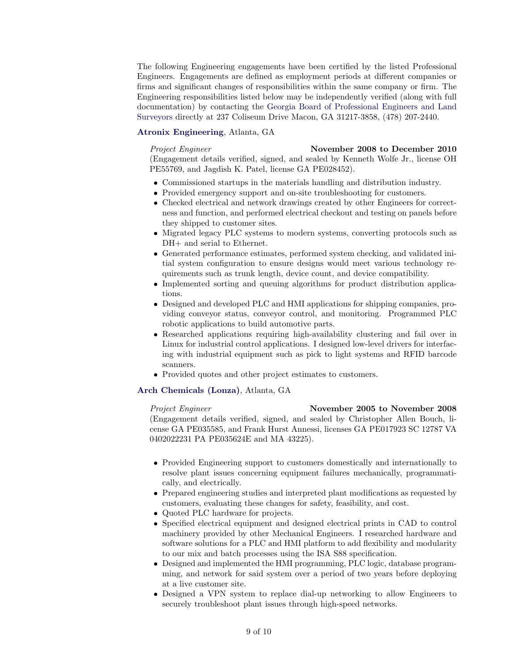The following Engineering engagements have been certified by the listed Professional Engineers. Engagements are defined as employment periods at different companies or firms and significant changes of responsibilities within the same company or firm. The Engineering responsibilities listed below may be independently verified (along with full documentation) by contacting the [Georgia Board of Professional Engineers and Land](http://sos.georgia.gov/plb/pels/) [Surveyors](http://sos.georgia.gov/plb/pels/) directly at 237 Coliseum Drive Macon, GA 31217-3858, (478) 207-2440.

### [Atronix Engineering](http://atronixengineering.com/), Atlanta, GA

# Project Engineer November 2008 to December 2010

(Engagement details verified, signed, and sealed by Kenneth Wolfe Jr., license OH PE55769, and Jagdish K. Patel, license GA PE028452).

- Commissioned startups in the materials handling and distribution industry.
- Provided emergency support and on-site troubleshooting for customers.
- Checked electrical and network drawings created by other Engineers for correctness and function, and performed electrical checkout and testing on panels before they shipped to customer sites.
- Migrated legacy PLC systems to modern systems, converting protocols such as DH+ and serial to Ethernet.
- Generated performance estimates, performed system checking, and validated initial system configuration to ensure designs would meet various technology requirements such as trunk length, device count, and device compatibility.
- Implemented sorting and queuing algorithms for product distribution applications.
- Designed and developed PLC and HMI applications for shipping companies, providing conveyor status, conveyor control, and monitoring. Programmed PLC robotic applications to build automotive parts.
- Researched applications requiring high-availability clustering and fail over in Linux for industrial control applications. I designed low-level drivers for interfacing with industrial equipment such as pick to light systems and RFID barcode scanners.
- Provided quotes and other project estimates to customers.

# [Arch Chemicals \(Lonza\)](http://www.archchemicals.com/), Atlanta, GA

## Project Engineer November 2005 to November 2008

(Engagement details verified, signed, and sealed by Christopher Allen Bouch, license GA PE035585, and Frank Hurst Annessi, licenses GA PE017923 SC 12787 VA 0402022231 PA PE035624E and MA 43225).

- Provided Engineering support to customers domestically and internationally to resolve plant issues concerning equipment failures mechanically, programmatically, and electrically.
- Prepared engineering studies and interpreted plant modifications as requested by customers, evaluating these changes for safety, feasibility, and cost.
- Quoted PLC hardware for projects.
- Specified electrical equipment and designed electrical prints in CAD to control machinery provided by other Mechanical Engineers. I researched hardware and software solutions for a PLC and HMI platform to add flexibility and modularity to our mix and batch processes using the ISA S88 specification.
- Designed and implemented the HMI programming, PLC logic, database programming, and network for said system over a period of two years before deploying at a live customer site.
- Designed a VPN system to replace dial-up networking to allow Engineers to securely troubleshoot plant issues through high-speed networks.